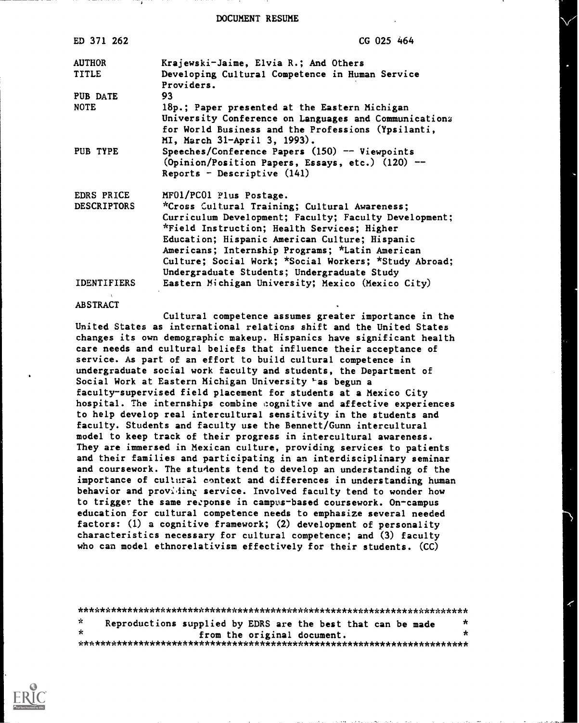DOCUMENT RESUME

| ED 371 262                    | CG 025 464                                                                                                                                                                                                                                                                                                                                                         |
|-------------------------------|--------------------------------------------------------------------------------------------------------------------------------------------------------------------------------------------------------------------------------------------------------------------------------------------------------------------------------------------------------------------|
| <b>AUTHOR</b><br><b>TITLE</b> | Krajewski-Jaime, Elvia R.; And Others<br>Developing Cultural Competence in Human Service<br>Providers.                                                                                                                                                                                                                                                             |
| PUB DATE                      | 93                                                                                                                                                                                                                                                                                                                                                                 |
| <b>NOTE</b>                   | 18p.; Paper presented at the Eastern Michigan<br>University Conference on Languages and Communications<br>for World Business and the Professions (Ypsilanti,<br>MI, March 31-April 3, 1993).                                                                                                                                                                       |
| PUB TYPE                      | Speeches/Conference Papers (150) -- Viewpoints<br>$(0$ pinion/Position Papers, Essays, etc.) $(120)$ --<br>Reports - Descriptive $(141)$                                                                                                                                                                                                                           |
| EDRS PRICE                    | MF01/PC01 Plus Postage.                                                                                                                                                                                                                                                                                                                                            |
| <b>DESCRIPTORS</b>            | *Cross Cultural Training; Cultural Awareness;<br>Curriculum Development; Faculty; Faculty Development;<br>*Field Instruction; Health Services; Higher<br>Education; Hispanic American Culture; Hispanic<br>Americans; Internship Programs; *Latin American<br>Culture; Social Work; *Social Workers; *Study Abroad;<br>Undergraduate Students; Undergraduate Study |
| <b>IDENTIFIERS</b>            | Eastern Michigan University; Mexico (Mexico City)                                                                                                                                                                                                                                                                                                                  |

#### **ABSTRACT**

Cultural competence assumes greater importance in the United States as international relations shift and the United States changes its own demographic makeup. Hispanics have significant health care needs and cultural beliefs that influence their acceptance of service. As part of an effort to build cultural competence in undergraduate social work faculty and students, the Department of Social Work at Eastern Michigan University 'as begun a faculty-supervised field placement for students at a Mexico City hospital. The internships combine cognitive and affective experiences to help develop real intercultural sensitivity in the students and faculty. Students and faculty use the Bennett/Gunn intercultural model to keep track of their progress in intercultural awareness. They are immersed in Mexican culture, providing services to patients and their families and participating in an interdisciplinary seminar and coursework. The students tend to develop an understanding of the importance of cultural context and differences in understanding human behavior and proviting service. Involved faculty tend to wonder how to trigger the same recponse in campus-based coursework. On-campus education for cultural competence needs to emphasize several needed factors: (1) a cognitive framework; (2) development of personality characteristics necessary for cultural competence; and (3) faculty who can model ethnorelativism effectively for their students. (CC)

\*\*\*\*\*\*\*\*\*\*\*\*\*\*\*\*\*\*\*\*\*\*\*\*\*\*\*\*\*\*\*\*\*\*\*\*\*\*\*\*\*\*\*\*\*\*\*\*\*\*\*\*\*\*\*\*\*\*\*\*\*\*\*\*\*\*\*\*\*\*\*  $\mathbf{K}$ Reproductions supplied by EDRS are the best that can be made  $*$ from the original document. \*\*\*\*\*\*\*\*\*\*\*\*\*\*\*\*\*\*\*\*\*\*\*\*\*\*\*\*\*\*\*\*\*\*\*\*\*\*\*\*\*\*\*\*\*\*\*\*\*\*\*\*\*\*\*\*\*\*\*\*\*\*\*\*\*\*\*\*\*\*\*

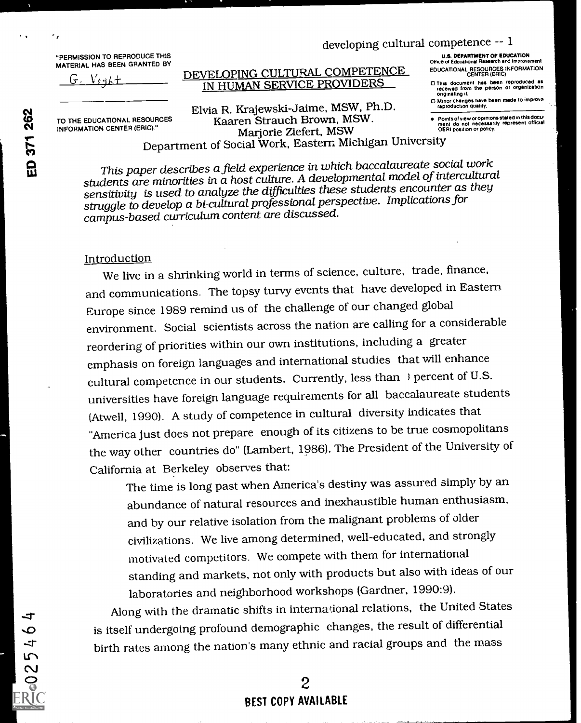# developing cultural competence  $-1$

"PERMISSION TO REPRODUCE THIS MATERIAL HAS BEEN GRANTED BY

 $V$ cak $+$ 

DEVELOPING CULTURAL COMPETENCE IN HUMAN SERVICE PROVIDERS

U.S. DEPARTMENT OF EDUCATION Office of Educabonel Research and Improvement EDUCATIONAL RESOURCES INFORMATION CENTER (ERIC)

- CI This document has been reproduced as received from the person or organization originating it
- 0 Minor changes have been made to improve reproduction Quality.

Points of view or opinions stated in this docu-<br>ment do not necessarily represent official<br>OERI position or policy.

TO THE EDUCATIONAL RESOURCES INFORMATION CENTER (ERIC)."

Elvia R. Krajewski-Jaime, MSW, Ph.D. Kaaren Strauch Brown, MSW. Marjorie Ziefert, MSW Department of Social Work, Eastern Michigan University

This paper describes a field experience in which baccalaureate social work students are minorities in a host culture. A. developmental model of intercultural sensitivity is used to analyze the difficulties these students encounter as they struggle to develop a bi-cultural professional perspective. Implications for campus-based curriculum content are discussed.

## Introduction

We live in a shrinking world in terms of science, culture, trade, finance, and communications. The topsy turvy events that have developed in Eastern Europe since 1989 remind us of the challenge of our changed global environment. Social scientists across the nation are calling for a considerable reordering of priorities within our own institutions, including a greater emphasis on foreign languages and international studies that will enhance cultural competence in our students. Currently, less than ) percent of U.S. universities have foreign language requirements for all baccalaureate students (Atwell, 1990). A study of competence in cultural diversity indicates that "America just does not prepare enough of its citizens to be true cosmopolitans the way other countries do" (Lambert, 1986). The President of the University of California at Berkeley observes that:

The time is long past when America's destiny was assured simply by an abundance of natural resources and inexhaustible human enthusiasm, and by our relative isolation from the malignant problems of older civilizations. We live among determined, well-educated, and strongly motivated competitors. We compete with them for international standing and markets, not only with products but also with ideas of our laboratories and neighborhood workshops (Gardner, 1990:9).

Along with the dramatic shifts in international relations, the United States is itself undergoing profound demographic changes, the result of differential birth rates among the nation's many ethnic and racial groups and the mass

 $\overline{Q}$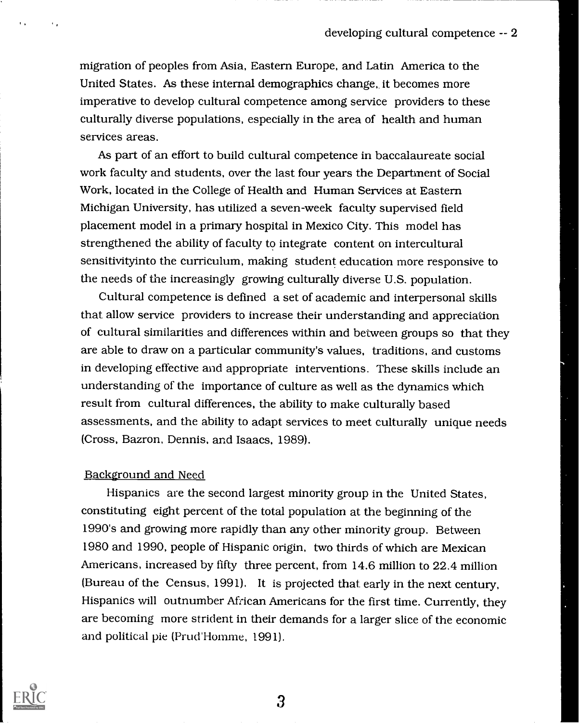migration of peoples from Asia, Eastern Europe, and Latin America to the United States. As these internal demographics change, it becomes more imperative to develop cultural competence among service providers to these culturally diverse populations, especially in the area of health and human services areas.

As part of an effort to build cultural competence in baccalaureate social work faculty and students, over the last four years the Department of Social Work, located in the College of Health and Human Services at Eastern Michigan University, has utilized a seven-week faculty supervised field placement model in a primary hospital in Mexico City. This model has strengthened the ability of faculty to integrate content on intercultural sensitivityinto the curriculum, making student education more responsive to the needs of the increasingly growing culturally diverse U.S. population.

Cultural competence is defined a set of academic and interpersonal skills that allow service providers to increase their understanding and appreciation of cultural similarities and differences within and between groups so that they are able to draw on a particular community's values, traditions, and customs in developing effective and appropriate interventions. These skills include an understanding of the importance of culture as well as the dynamics which result from cultural differences, the ability to make culturally based assessments, and the ability to adapt services to meet culturally unique needs (Cross, Bazron, Dennis, and Isaacs, 1989).

#### Background and Need

Hispanics are the second largest minority group in the United States, constituting eight percent of the total population at the beginning of the 1990's and growing more rapidly than any other minority group. Between 1980 and 1990, people of Hispanic origin, two thirds of which are Mexican Americans, increased by fifty three percent, from 14.6 million to 22.4 million (Bureau of the Census, 1991). It is projected that, early in the next century, Hispanics will outnumber Afzican Americans for the first time. Currently, they are becoming more strident in their demands for a larger slice of the economic and political pie (Prud'Homme, 1991).

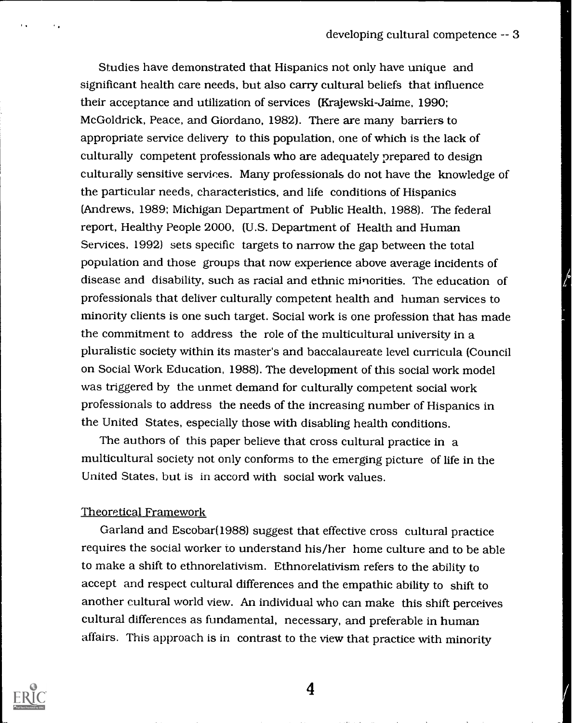Studies have demonstrated that Hispanics not only have unique and significant health care needs, but also carry cultural beliefs that influence their acceptance and utilization of services (Krajewski-Jaime, 1990; McGoldrick, Peace, and Giordano, 1982). There are many barriers to appropriate service delivery to this population, one of which is the lack of culturally competent professionals who are adequately prepared to design culturally sensitive services. Many professionals do not have the knowledge of the particular needs, characteristics, and life conditions of Hispanics (Andrews, 1989; Michigan Department of Public Health, 1988). The federal report, Healthy People 2000, (U.S. Department of Health and Human Services, 1992) sets specific targets to narrow the gap between the total population and those groups that now experience above average incidents of disease and disability, such as racial and ethnic minorities. The education of professionals that deliver culturally competent health and human services to minority clients is one such target. Social work is one profession that has made the commitment to address the role of the multicultural university in a pluralistic society within its master's and baccalaureate level curricula (Council on Social Work Education, 1988). The development of this social work model was triggered by the unmet demand for culturally competent social work professionals to address the needs of the increasing number of Hispanics in the United States, especially those with disabling health conditions.

The authors of this paper believe that cross cultural practice in a multicultural society not only conforms to the emerging picture of life in the United States, but is in accord with social work values.

## Theoretical Framework

Garland and Escobar(1988) suggest that effective cross cultural practice requires the social worker to understand his/her home culture and to be able to make a shift to ethnorelativism. Ethnorelativism refers to the ability to accept and respect cultural differences and the empathic ability to shift to another cultural world view. An individual who can make this shift perceives cultural differences as fundamental, necessary, and preferable in human affairs. This approach is in contrast to the view that practice with minority

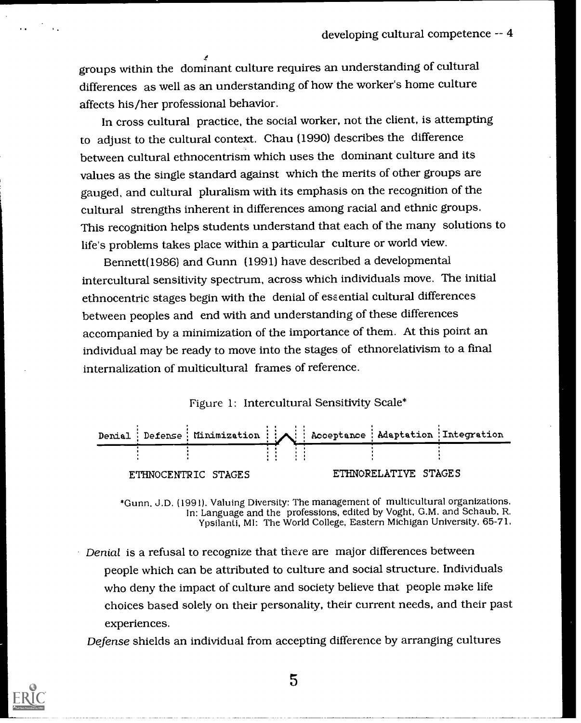groups within the dominant culture requires an understanding of cultural differences as well as an understanding of how the worker's home culture affects his/her professional behavior.

In cross cultural practice, the social worker, not the client, is attempting to adjust to the cultural context. Chau (1990) describes the difference between cultural ethnocentrism which uses the dominant culture and its values as the single standard against which the merits of other groups are gauged, and cultural pluralism with its emphasis on the recognition of the cultural strengths inherent in differences among racial and ethnic groups. This recognition helps students understand that each of the many solutions to life's problems takes place within a particular culture or world view.

Bennett(1986) and Gunn (1991) have described a developmental intercultural sensitivity spectrum, across which individuals move. The initial ethnocentric stages begin with the denial of essential cultural differences between peoples and end with and understanding of these differences accompanied by a minimization of the importance of them. At this point an individual may be ready to move into the stages of ethnorelativism to a final internalization of multicultural frames of reference.

# Figure 1: Intercultural Sensitivity Scale\*



\*Gunn, J.D. (1991). Valuing Diversity: The management of multicultural organizations. In: Language and the professions, edited by Voght. G.M. and Schaub, R. Ypsilanti, MI: The World College, Eastern Michigan University. 65-71.

Denial is a refusal to recognize that there are major differences between people which can be attributed to culture and social structure. Individuals who deny the impact of culture and society believe that people make life choices based solely on their personality, their current needs, and their past experiences.

Defense shields an individual from accepting difference by arranging cultures

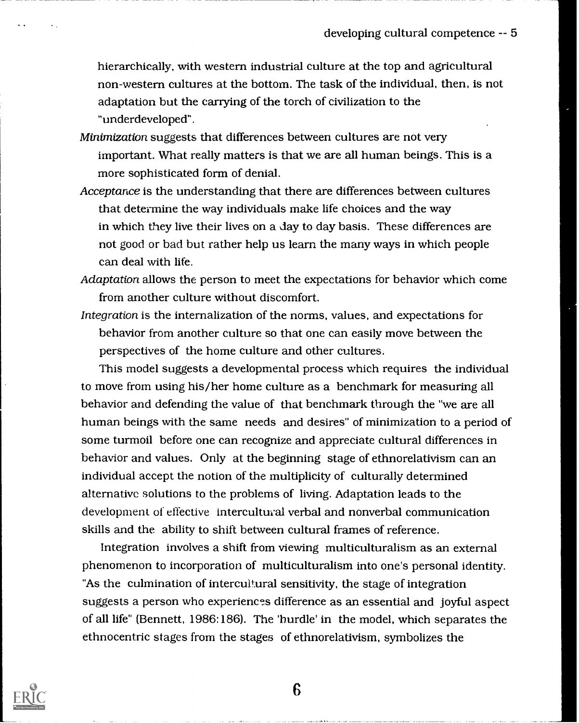hierarchically, with western industrial culture at the top and agricultural non-western cultures at the bottom. The task of the individual, then, is not adaptation but the carrying of the torch of civilization to the "underdeveloped".

Minimization suggests that differences between cultures are not very important. What really matters is that we are all human beings. This is a more sophisticated form of denial.

Acceptance is the understanding that there are differences between cultures that determine the way individuals make life choices and the way in which they live their lives on a day to day basis. These differences are not good or bad but rather help us learn the many ways in which people can deal with life.

Adaptation allows the person to meet the expectations for behavior which come from another culture without discomfort.

Integration is the internalization of the norms, values, and expectations for behavior from another culture so that one can easily move between the perspectives of the home culture and other cultures.

This model suggests a developmental process which requires the individual to move from using his/her home culture as a benchmark for measuring all behavior and defending the value of that benchmark through the "we are all human beings with the same needs and desires" of minimization to a period of some turmoil before one can recognize and appreciate cultural differences in behavior and values. Only at the beginning stage of ethnorelativism can an individual accept the notion of the multiplicity of culturally determined alternative solutions to the problems of living. Adaptation leads to the development of effective intercultural verbal and nonverbal communication skills and the ability to shift between cultural frames of reference.

Integration involves a shift from viewing multiculturalism as an external phenomenon to incorporation of multiculturalism into one's personal identity. "As the culmination of intercultural sensitivity, the stage of integration suggests a person who experiences difference as an essential and joyful aspect of all life" (Bennett, 1986:186). The 'hurdle' in the model, which separates the ethnocentric stages from the stages of ethnorelativism, symbolizes the

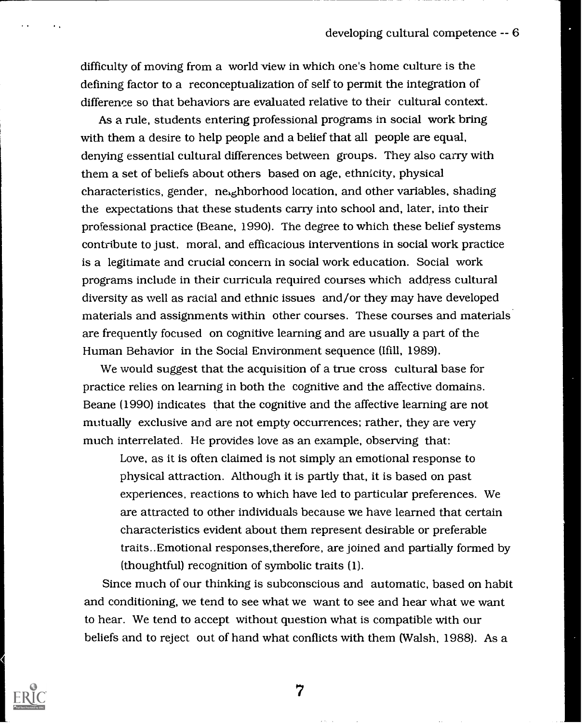difficulty of moving from a world view in which one's home culture is the defining factor to a reconceptualization of self to permit the integration of difference so that behaviors are evaluated relative to their cultural context.

As a rule, students entering professional programs in social work bring with them a desire to help people and a belief that all people are equal, denying essential cultural differences between groups. They also carry with them a set of beliefs about others based on age, ethnicity, physical characteristics, gender, ne,ghborhood location, and other variables, shading the expectations that these students carry into school and, later, into their professional practice (Beane, 1990). The degree to which these belief systems contribute to just, moral, and efficacious interventions in social work practice is a legitimate and crucial concern in social work education. Social work programs include in their curricula required courses which address cultural diversity as well as racial and ethnic issues and/or they may have developed materials and assignments within other courses. These courses and materials are frequently focused on cognitive learning and are usually a part of the Human Behavior in the Social Environment sequence (Ifill, 1989).

We would suggest that the acquisition of a true cross cultural base for practice relies on learning in both the cognitive and the affective domains. Beane (1990) indicates that the cognitive and the affective learning are not mutually exclusive and are not empty occurrences; rather, they are very much interrelated. He provides love as an example, observing that:

Love, as it is often claimed is not simply an emotional response to physical attraction. Although it is partly that, it is based on past experiences, reactions to which have led to particular preferences. We are attracted to other individuals because we have learned that certain characteristics evident about them represent desirable or preferable traits..Emotional responses,therefore, are joined and partially formed by (thoughtful) recognition of symbolic traits (1).

Since much of our thinking is subconscious and automatic, based on habit and conditioning, we tend to see what we want to see and hear what we want to hear. We tend to accept without question what is compatible with our beliefs and to reject out of hand what conflicts with them (Walsh, 1988). As a

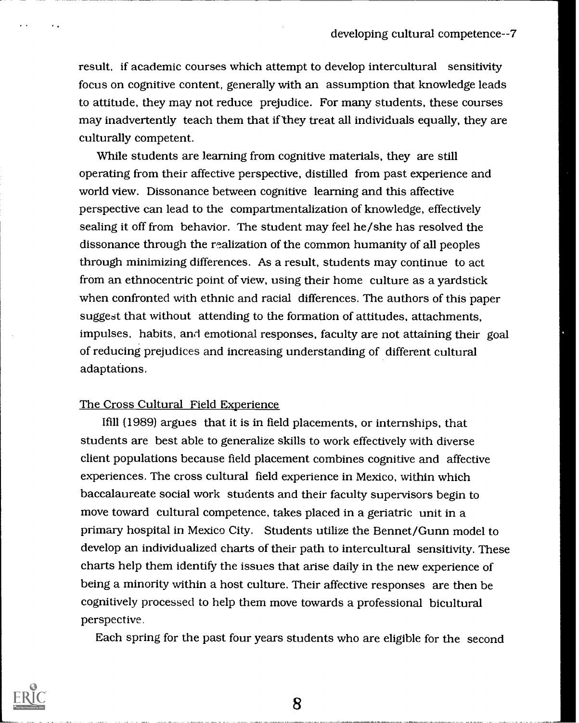result, if academic courses which attempt to develop intercultural sensitivity focus on cognitive content, generally with an assumption that knowledge leads to attitude, they may not reduce prejudice. For many students, these courses may inadvertently teach them that if they treat all individuals equally, they are culturally competent.

While students are learning from cognitive materials, they are still operating from their affective perspective, distilled from past experience and world view. Dissonance between cognitive learning and this affective perspective can lead to the compartmentalization of knowledge, effectively sealing it off from behavior. The student may feel he/she has resolved the dissonance through the realization of the common humanity of all peoples through minimizing differences. As a result, students may continue to act from an ethnocentric point of view, using their home culture as a yardstick when confronted with ethnic and racial differences. The authors of this paper suggest that without attending to the formation of attitudes, attachments, impulses, habits, and emotional responses, faculty are not attaining their goal of reducing prejudices and increasing understanding of different cultural adaptations.

## The Cross Cultural Field Experience

Ifill (1989) argues that it is in field placements, or internships, that students are best able to generalize skills to work effectively with diverse client populations because field placement combines cognitive and affective experiences. The cross cultural field experience in Mexico, within which baccalaureate social work students and their faculty supervisors begin to move toward cultural competence, takes placed in a geriatric unit in a primary hospital in Mexico City. Students utilize the Bennet/Gunn model to develop an individualized charts of their path to intercultural sensitivity. These charts help them identify the issues that arise daily in the new experience of being a minority within a host culture. Their affective responses are then be cognitively processed to help them move towards a professional bicultural perspective.

Each spring for the past four years students who are eligible for the second

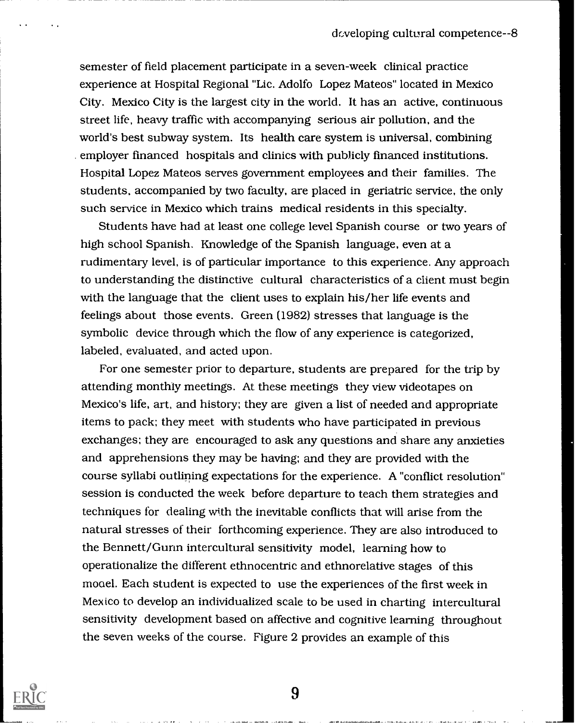semester of field placement participate in a seven-week clinical practice experience at Hospital Regional "Lic. Adolfo Lopez Mateos" located in Mexico City. Mexico City is the largest city in the world. It has an active, continuous street life, heavy traffic with accompanying serious air pollution, and the world's best subway system. Its health care system is universal, combining employer financed hospitals and clinics with publicly financed institutions. Hospital Lopez Mateos serves government employees and their families. The students, accompanied by two faculty, are placed in geriatric service, the only such service in Mexico which trains medical residents in this specialty.

Students have had at least one college level Spanish course or two years of high school Spanish. Knowledge of the Spanish language, even at a rudimentary level, is of particular importance to this experience. Any approach to understanding the distinctive cultural characteristics of a client must begin with the language that the client uses to explain his/her life events and feelings about those events. Green (1982) stresses that language is the symbolic device through which the flow of any experience is categorized, labeled, evaluated, and acted upon.

For one semester prior to departure, students are prepared for the trip by attending monthly meetings. At these meetings they view videotapes on Mexico's life, art, and history; they are given a list of needed and appropriate items to pack; they meet with students who have participated in previous exchanges; they are encouraged to ask any questions and share any anxieties and apprehensions they may be having; and they are provided with the course syllabi outlining expectations for the experience. A "conflict resolution" session is conducted the week before departure to teach them strategies and techniques for dealing with the inevitable conflicts that will arise from the natural stresses of their forthcoming experience. They are also introduced to the Bennett/Gunn intercultural sensitivity model, learning how to operationalize the different ethnocentric and ethnorelative stages of this moael. Each student is expected to use the experiences of the first week in Mexico to develop an individualized scale to be used in charting intercultural sensitivity development based on affective and cognitive learning throughout the seven weeks of the course. Figure 2 provides an example of this

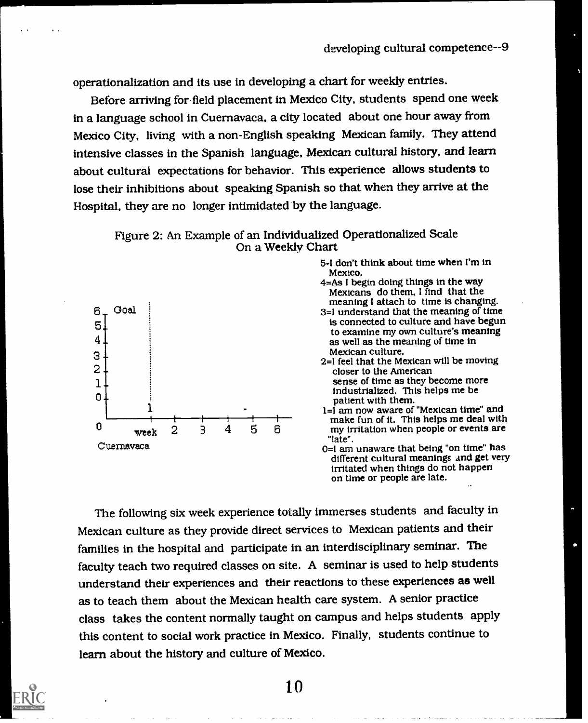operationalization and its use in developing a chart for weekly entries.

Before arriving for field placement in Mexico City, students spend one week in a language school in Cuernavaca, a city located about one hour away from Mexico City, living with a non-English speaking Mexican family. They attend intensive classes in the Spanish language, Mexican cultural history, and learn about cultural expectations for behavior. This experience allows students to lose their inhibitions about speaking Spanish so that when they arrive at the Hospital, they are no longer intimidated by the language.





- 5-1 don't think about time when I'm in Mexico.<br>4=As I begin doing things in the way
- Mexicans do them. I find that the<br>meaning I attach to time is changing.
- 3=1 understand that the meaning of time is connected to culture and have begun to examine my own culture's meaning as well as the meaning of time in Mexican culture.
- 2=1 feel that the Mexican will be moving closer to the American sense of time as they become more industrialized. This helps me be

make fun of it. This helps me deal with 3 4 5 6 my irritation when people or events are "late".<br>0=1 am unaware that being "on time" has

different cultural meanings and get very irritated when things do not happen on time or people are late.

The following six week experience totally immerses students and faculty in Mexican culture as they provide direct services to Mexican patients and their families in the hospital and participate in an interdisciplinary seminar. The faculty teach two required classes on site. A seminar is used to help students understand their experiences and their reactions to these experiences as well as to teach them about the Mexican health care system. A senior practice class takes the content normally taught on campus and helps students apply this content to social work practice in Mexico. Finally, students continue to learn about the history and culture of Mexico.

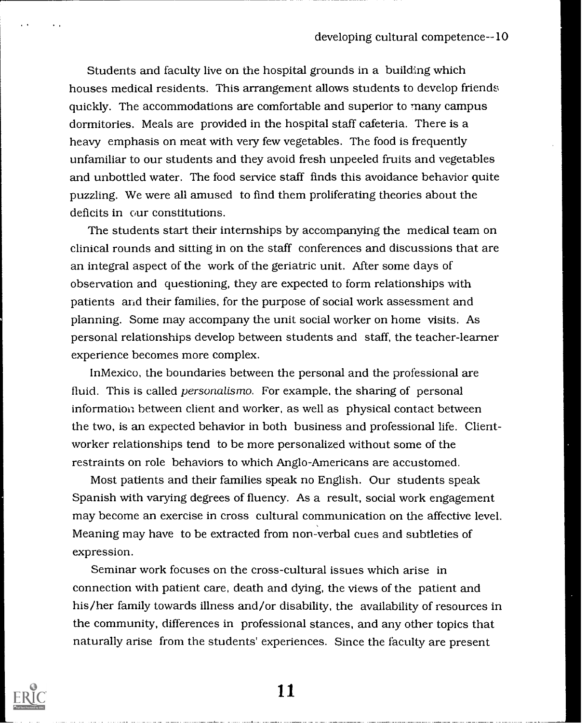Students and faculty live on the hospital grounds in a building which houses medical residents. This arrangement allows students to develop friends quickly. The accommodations are comfortable and superior to many campus dormitories. Meals are provided in the hospital staff cafeteria. There is a heavy emphasis on meat with very few vegetables. The food is frequently unfamiliar to our students and they avoid fresh unpeeled fruits and vegetables and unbottled water. The food service staff finds this avoidance behavior quite puzzling. We were all amused to find them proliferating theories about the deficits in our constitutions.

The students start their internships by accompanying the medical team on clinical rounds and sitting in on the staff conferences and discussions that are an integral aspect of the work of the geriatric unit. After some days of observation and questioning, they are expected to form relationships with patients and their families, for the purpose of social work assessment and planning. Some may accompany the unit social worker on home visits. As personal relationships develop between students and staff, the teacher-learner experience becomes more complex.

In Mexico, the boundaries between the personal and the professional are fluid. This is called *personalismo*. For example, the sharing of personal information between client and worker, as well as physical contact between the two, is an expected behavior in both business and professional life. Clientworker relationships tend to be more personalized without some of the restraints on role behaviors to which Anglo-Americans are accustomed.

Most patients and their families speak no English. Our students speak Spanish with varying degrees of fluency. As a result, social work engagement may become an exercise in cross cultural communication on the affective level. Meaning may have to be extracted from non-verbal cues and subtleties of expression.

Seminar work focuses on the cross-cultural issues which arise in connection with patient care, death and dying, the views of the patient and his/her family towards illness and/or disability, the availability of resources in the community, differences in professional stances, and any other topics that naturally arise from the students' experiences. Since the faculty are present

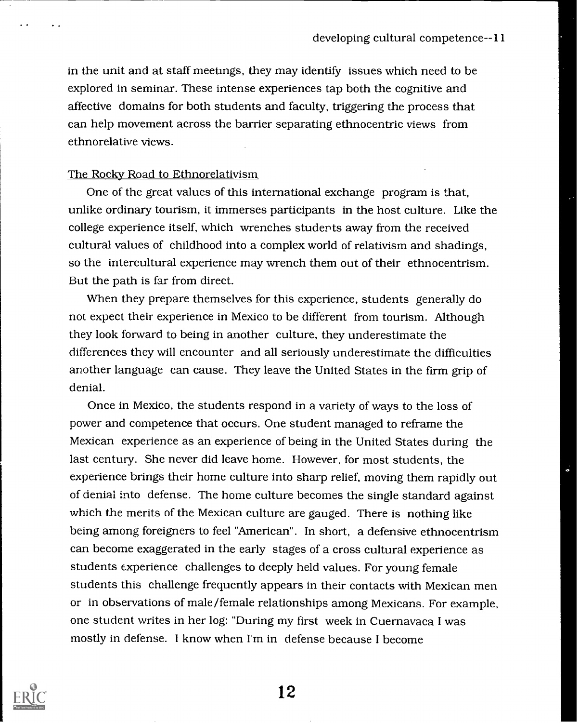in the unit and at staff meetings, they may identify issues which need to be explored in seminar. These intense experiences tap both the cognitive and affective domains for both students and faculty, triggering the process that can help movement across the barrier separating ethnocentric views from ethnorelative views.

#### The Rocky Road to Ethnorelativism

One of the great values of this international exchange program is that, unlike ordinary tourism, it immerses participants in the host culture. Like the college experience itself, which wrenches students away from the received cultural values of childhood into a complex world of relativism and shadings, so the intercultural experience may wrench them out of their ethnocentrism. But the path is far from direct.

When they prepare themselves for this experience, students generally do not expect their experience in Mexico to be different from tourism. Although they look forward to being in another culture, they underestimate the differences they will encounter and all seriously underestimate the difficulties another language can cause. They leave the United States in the firm grip of denial.

Once in Mexico, the students respond in a variety of ways to the loss of power and competence that occurs. One student managed to reframe the Mexican experience as an experience of being in the United States during the last century. She never did leave home. However, for most students, the experience brings their home culture into sharp relief, moving them rapidly out of denial into defense. The home culture becomes the single standard against which the merits of the Mexican culture are gauged. There is nothing like being among foreigners to feel "American". In short, a defensive ethnocentrism can become exaggerated in the early stages of a cross cultural experience as students experience challenges to deeply held values. For young female students this challenge frequently appears in their contacts with Mexican men or in observations of male/female relationships among Mexicans. For example, one student writes in her log: "During my first week in Cuernavaca I was mostly in defense. I know when I'm in defense because I become

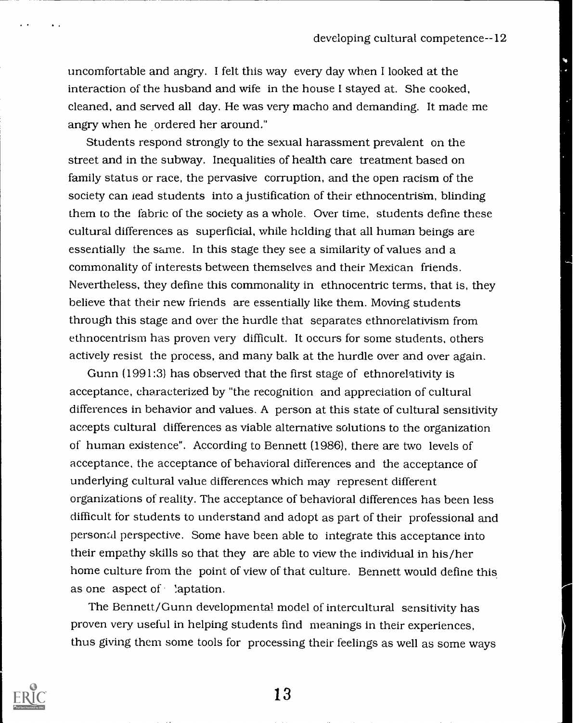uncomfortable and angry. I felt this way every day when I looked at the interaction of the husband and wife in the house I stayed at. She cooked, cleaned, and served all day. He was very macho and demanding. It made me angry when he ordered her around."

Students respond strongly to the sexual harassment prevalent on the street and in the subway. Inequalities of health care treatment based on family status or race, the pervasive corruption, and the open racism of the society can lead students into a justification of their ethnocentrism, blinding them to the fabric of the society as a whole. Over time, students define these cultural differences as superficial, while holding that all human beings are essentially the same. In this stage they see a similarity of values and a commonality of interests between themselves and their Mexican friends. Nevertheless, they define this commonality in ethnocentric terms, that is, they believe that their new friends are essentially like them. Moving students through this stage and over the hurdle that separates ethnorelativism from ethnocentrism has proven very difficult. It occurs for some students, others actively resist the process, and many balk at the hurdle over and over again.

Gunn (1991:3) has observed that the first stage of ethnorelativity is acceptance, characterized by "the recognition and appreciation of cultural differences in behavior and values. A person at this state of cultural sensitivity accepts cultural differences as viable alternative solutions to the organization of human existence". According to Bennett (1986), there are two levels of acceptance, the acceptance of behavioral differences and the acceptance of underlying cultural value differences which may represent different organizations of reality. The acceptance of behavioral differences has been less difficult for students to understand and adopt as part of their professional and personal perspective. Some have been able to integrate this acceptance into their empathy skills so that they are able to view the individual in his/her home culture from the point of view of that culture. Bennett would define this as one aspect of  $\cdot$  'aptation.

The Bennett/Gunn developmental model of intercultural sensitivity has proven very useful in helping students find meanings in their experiences, thus giving them some tools for processing their feelings as well as some ways

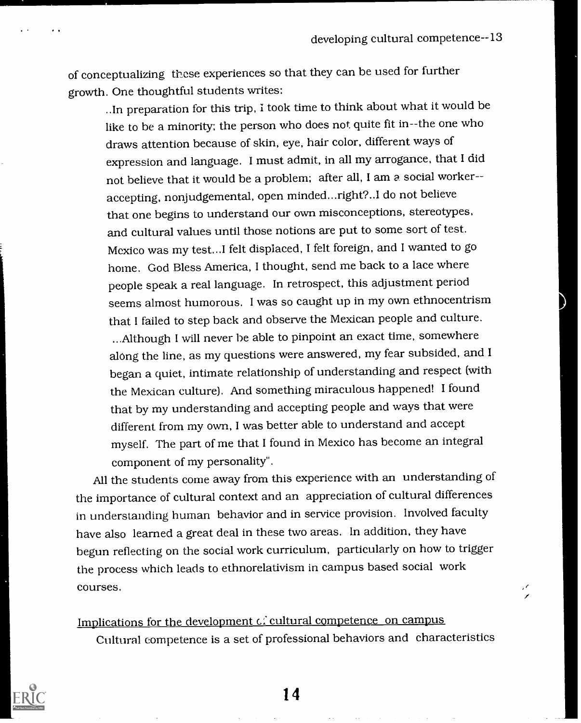of conceptualizing these experiences so that they can be used for further growth. One thoughtful students writes:

..In preparation for this trip, I took time to think about what it would be like to be a minority; the person who does not quite fit in--the one who draws attention because of skin, eye, hair color, different ways of expression and language. I must admit, in all my arrogance, that I did not believe that it would be a problem; after all, I am a social worker- accepting, nonjudgemental, open minded...right?..I do not believe that one begins to understand our own misconceptions, stereotypes, and cultural values until those notions are put to some sort of test. Mexico was my test...I felt displaced, I felt foreign, and I wanted to go home. God Bless America, I thought, send me back to a lace where people speak a real language. In retrospect, this adjustment period seems almost humorous. I was so caught up in my own ethnocentrism that I failed to step back and observe the Mexican people and culture. ...Although I will never be able to pinpoint an exact time, somewhere along the line, as my questions were answered, my fear subsided, and I began a quiet, intimate relationship of understanding and respect (with the Mexican culture). And something miraculous happened! I found that by my understanding and accepting people and ways that were different from my own, I was better able to understand and accept myself. The part of me that I found in Mexico has become an integral component of my personality".

All the students come away from this experience with an understanding of the importance of cultural context and an appreciation of cultural differences in understanding human behavior and in service provision. Involved faculty have also learned a great deal in these two areas. In addition, they have begun reflecting on the social work curriculum, particularly on how to trigger the process which leads to ethnorelativism in campus based social work courses.

Implications for the development  $\vec{c}$  cultural competence on campus Cultural competence is a set of professional behaviors and characteristics

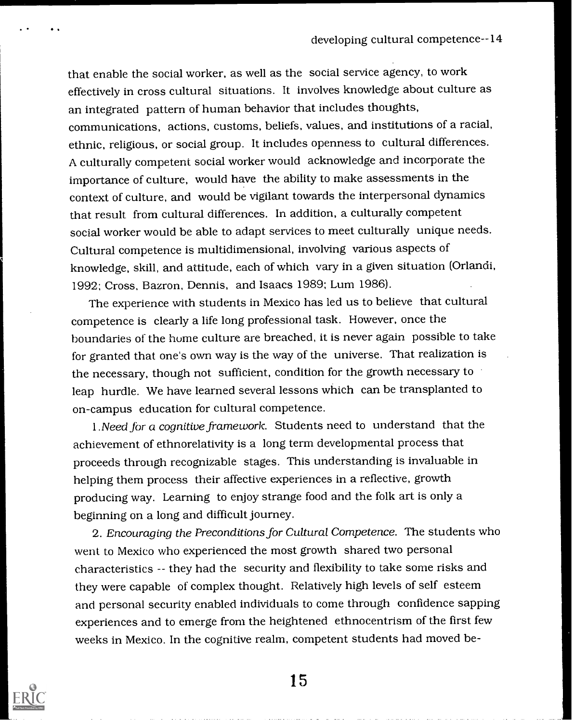that enable the social worker, as well as the social service agency, to work effectively in cross cultural situations. It involves knowledge about culture as an integrated pattern of human behavior that includes thoughts, communications, actions, customs, beliefs, values, and institutions of a racial, ethnic, religious, or social group. It includes openness to cultural differences. A culturally competent social worker would acknowledge and incorporate the importance of culture, would have the ability to make assessments in the context of culture, and would be vigilant towards the interpersonal dynamics that result from cultural differences. In addition, a culturally competent social worker would be able to adapt services to meet culturally unique needs. Cultural competence is multidimensional, involving various aspects of knowledge, skill, and attitude, each of which vary in a given situation (Orlandi, 1992; Cross, Bazron, Dennis, and Isaacs 1989; Lurn 1986).

The experience with students in Mexico has led us to believe that cultural competence is clearly a life long professional task. However, once the boundaries of the home culture are breached, it is never again possible to take for granted that one's own way is the way of the universe. That realization is the necessary, though not sufficient, condition for the growth necessary to leap hurdle. We have learned several lessons which can be transplanted to on-campus education for cultural competence.

1 .Need for a cognitive framework. Students need to understand that the achievement of ethnorelativity is a long term developmental process that proceeds through recognizable stages. This understanding is invaluable in helping them process their affective experiences in a reflective, growth producing way. Learning to enjoy strange food and the folk art is only a beginning on a long and difficult journey.

2. Encouraging the Preconditions for Cultural Competence. The students who went to Mexico who experienced the most growth shared two personal characteristics -- they had the security and flexibility to take some risks and they were capable of complex thought. Relatively high levels of self esteem and personal security enabled individuals to come through confidence sapping experiences and to emerge from the heightened ethnocentrism of the first few weeks in Mexico. In the cognitive realm, competent students had moved be-

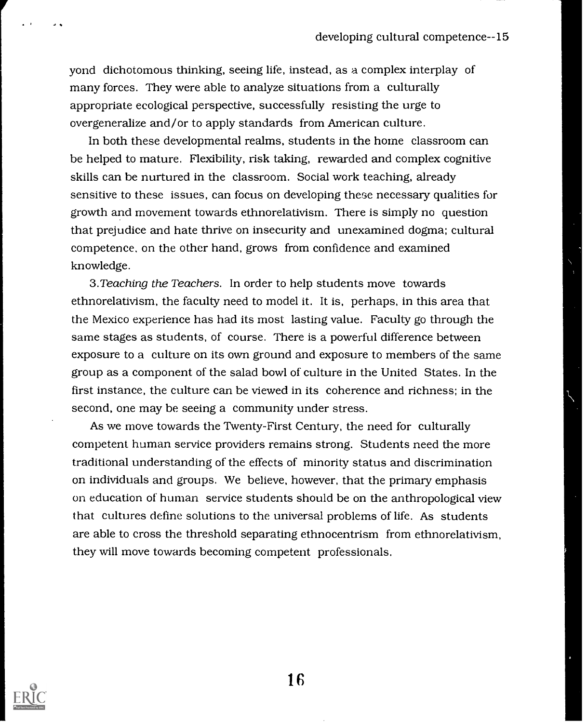yond dichotomous thinking, seeing life, instead, as a complex interplay of many forces. They were able to analyze situations from a culturally appropriate ecological perspective, successfully resisting the urge to overgeneralize and/or to apply standards from American culture.

In both these developmental realms, students in the home classroom can be helped to mature. Flexibility, risk taking, rewarded and complex cognitive skills can be nurtured in the classroom. Social work teaching, already sensitive to these issues, can focus on developing these necessary qualities for growth and movement towards ethnorelativism. There is simply no question that prejudice and hate thrive on insecurity and unexamined dogma; cultural competence. on the other hand, grows from confidence and examined knowledge.

3. Teaching the Teachers. In order to help students move towards ethnorelativism, the faculty need to model it. It is, perhaps, in this area that the Mexico experience has had its most lasting value. Faculty go through the same stages as students, of course. There is a powerful difference between exposure to a culture on its own ground and exposure to members of the same group as a component of the salad bowl of culture in the United States. In the first instance, the culture can be viewed in its coherence and richness; in the second, one may be seeing a community under stress.

As we move towards the Twenty-First Century, the need for culturally competent human service providers remains strong. Students need the more traditional understanding of the effects of minority status and discrimination on individuals and groups. We believe, however, that the primary emphasis on education of human service students should be on the anthropological view that cultures define solutions to the universal problems of life. As students are able to cross the threshold separating ethnocentrism from ethnorelativism, they will move towards becoming competent professionals.

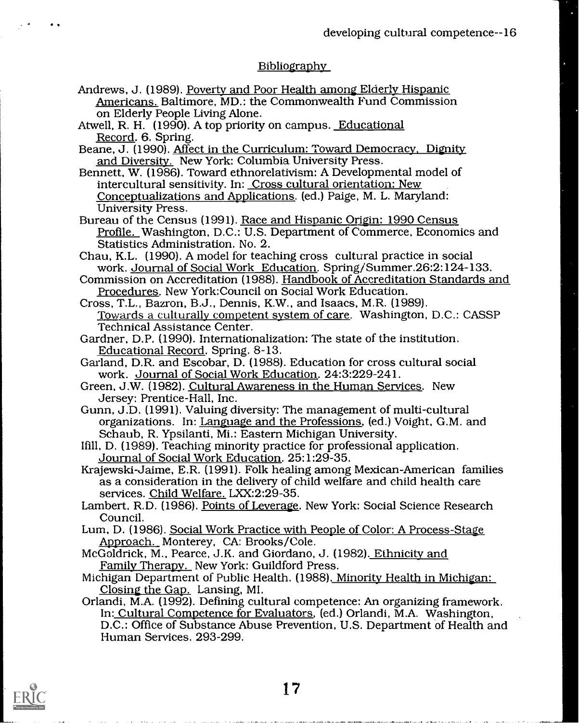## **Bibliography**

- Andrews, J. (1989). Poverty and Poor Health among Elderly Hispanic Americans. Baltimore, MD.: the Commonwealth Fund Commission
- Atwell, R. H. (1990). A top priority on campus. <u>Educational Record</u>. 6. Spring.<br>Record. 6. Spring. Beane, J. (1990). Affect in the Curriculum: Toward Democracy, Dignity.
- and Diversity. New York: Columbia University Press.
- Bennett, W. (1986). Toward ethnorelativism: A Developmental model of intercultural sensitivity. In: Cross cultural orientation: New Conceptualizations and Applications. (ed.) Paige, M. L. Maryland:
- Bureau of the Census (1991). Race and Hispanic Origin: 1990 Census Profile. Washington, D.C.: U.S. Department of Commerce, Economics and Statistics Administration. No. 2.
- Chau, K.L. (1990). A model for teaching cross cultural practice in social work. Journal of Social Work Education. Spring/Summer.26:2:124-133. Commission on Accreditation (1988). Handbook of Accreditation Standards and
- Procedures. New York:Council on Social Work Education.
- Cross, T.L., Bazron, B.J., Dennis, K.W., and Isaacs, M.R. (1989). Towards a culturally competent system of care. Washington, D.C.: CASSP Technical Assistance Center.
- Gardner, D.P. (1990). Internationalization: The state of the institution.<br>Educational Record. Spring. 8-13.
- Garland, D.R. and Escobar, D. (1988). Education for cross cultural social work. Journal of Social Work Education. 24:3:229-241.
- Green, J.W. (1982). Cultural Awareness in the Human Services. New Jersey: Prentice-Hall, Inc.
- Gunn, J.D. (1991). Valuing diversity: The management of multi-cultural organizations. In: Language and the Professions, (ed.) Voight, G.M. and Schaub, R. Ypsilanti, Mi.: Eastern Michigan University.
- Ifill, D. (1989). Teaching minority practice for professional application. Journal of Social Work Education. 25:1:29-35.
- Krajewski-Jaime, E.R. (1991). Folk healing among Mexican-American families as a consideration in the delivery of child welfare and child health care services. Child Welfare. LXX:2:29-35.
- Lambert, R.D. (1986). Points of Leverage. New York: Social Science Research Council.
- Lum, D. (1986). Social Work Practice with People of Color: A Process-Stage Approach. Monterey, CA: Brooks/Cole.
- McGoldrick, M., Pearce, J.K. and Giordano, J. (1982). Ethnicity and Family Therapy. New York: Guildford Press.
- Michigan Department of Public Health. (1988). Minority Health in Michigan:<br>Closing the Gap. Lansing, MI.
- Orlandi, M.A. (1992). Defining cultural competence: An organizing framework.<br>In: Cultural Competence for Evaluators, (ed.) Orlandi, M.A. Washington,<br>D.C.: Office of Substance Abuse Prevention, U.S. Department of Health and